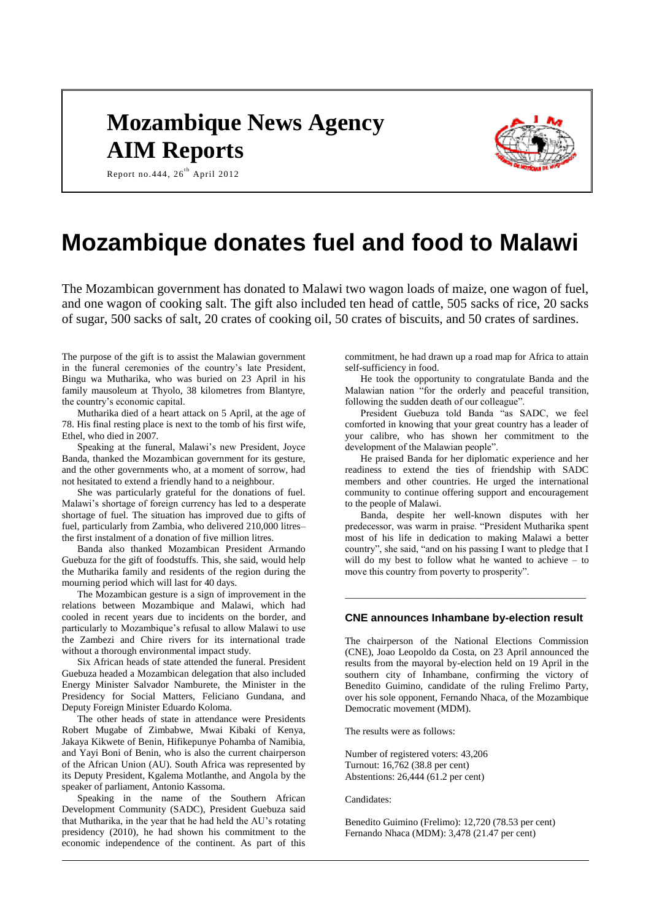# **Mozambique News Agency AIM Reports**



Report no.444, 26<sup>th</sup> April 2012

# **Mozambique donates fuel and food to Malawi**

The Mozambican government has donated to Malawi two wagon loads of maize, one wagon of fuel, and one wagon of cooking salt. The gift also included ten head of cattle, 505 sacks of rice, 20 sacks of sugar, 500 sacks of salt, 20 crates of cooking oil, 50 crates of biscuits, and 50 crates of sardines.

The purpose of the gift is to assist the Malawian government in the funeral ceremonies of the country's late President, Bingu wa Mutharika, who was buried on 23 April in his family mausoleum at Thyolo, 38 kilometres from Blantyre, the country's economic capital.

Mutharika died of a heart attack on 5 April, at the age of 78. His final resting place is next to the tomb of his first wife, Ethel, who died in 2007.

Speaking at the funeral, Malawi's new President, Joyce Banda, thanked the Mozambican government for its gesture, and the other governments who, at a moment of sorrow, had not hesitated to extend a friendly hand to a neighbour.

She was particularly grateful for the donations of fuel. Malawi's shortage of foreign currency has led to a desperate shortage of fuel. The situation has improved due to gifts of fuel, particularly from Zambia, who delivered 210,000 litres– the first instalment of a donation of five million litres.

Banda also thanked Mozambican President Armando Guebuza for the gift of foodstuffs. This, she said, would help the Mutharika family and residents of the region during the mourning period which will last for 40 days.

The Mozambican gesture is a sign of improvement in the relations between Mozambique and Malawi, which had cooled in recent years due to incidents on the border, and particularly to Mozambique's refusal to allow Malawi to use the Zambezi and Chire rivers for its international trade without a thorough environmental impact study.

Six African heads of state attended the funeral. President Guebuza headed a Mozambican delegation that also included Energy Minister Salvador Namburete, the Minister in the Presidency for Social Matters, Feliciano Gundana, and Deputy Foreign Minister Eduardo Koloma.

The other heads of state in attendance were Presidents Robert Mugabe of Zimbabwe, Mwai Kibaki of Kenya, Jakaya Kikwete of Benin, Hifikepunye Pohamba of Namibia, and Yayi Boni of Benin, who is also the current chairperson of the African Union (AU). South Africa was represented by its Deputy President, Kgalema Motlanthe, and Angola by the speaker of parliament, Antonio Kassoma.

Speaking in the name of the Southern African Development Community (SADC), President Guebuza said that Mutharika, in the year that he had held the AU's rotating presidency (2010), he had shown his commitment to the economic independence of the continent. As part of this

commitment, he had drawn up a road map for Africa to attain self-sufficiency in food.

He took the opportunity to congratulate Banda and the Malawian nation "for the orderly and peaceful transition, following the sudden death of our colleague".

President Guebuza told Banda "as SADC, we feel comforted in knowing that your great country has a leader of your calibre, who has shown her commitment to the development of the Malawian people".

He praised Banda for her diplomatic experience and her readiness to extend the ties of friendship with SADC members and other countries. He urged the international community to continue offering support and encouragement to the people of Malawi.

Banda, despite her well-known disputes with her predecessor, was warm in praise. "President Mutharika spent most of his life in dedication to making Malawi a better country", she said, "and on his passing I want to pledge that I will do my best to follow what he wanted to achieve – to move this country from poverty to prosperity".

# **CNE announces Inhambane by-election result**

\_\_\_\_\_\_\_\_\_\_\_\_\_\_\_\_\_\_\_\_\_\_\_\_\_\_\_\_\_\_\_\_\_\_\_\_\_\_\_\_\_\_\_\_\_\_\_\_\_

The chairperson of the National Elections Commission (CNE), Joao Leopoldo da Costa, on 23 April announced the results from the mayoral by-election held on 19 April in the southern city of Inhambane, confirming the victory of Benedito Guimino, candidate of the ruling Frelimo Party, over his sole opponent, Fernando Nhaca, of the Mozambique Democratic movement (MDM).

The results were as follows:

Number of registered voters: 43,206 Turnout: 16,762 (38.8 per cent) Abstentions: 26,444 (61.2 per cent)

Candidates:

Benedito Guimino (Frelimo): 12,720 (78.53 per cent) Fernando Nhaca (MDM): 3,478 (21.47 per cent)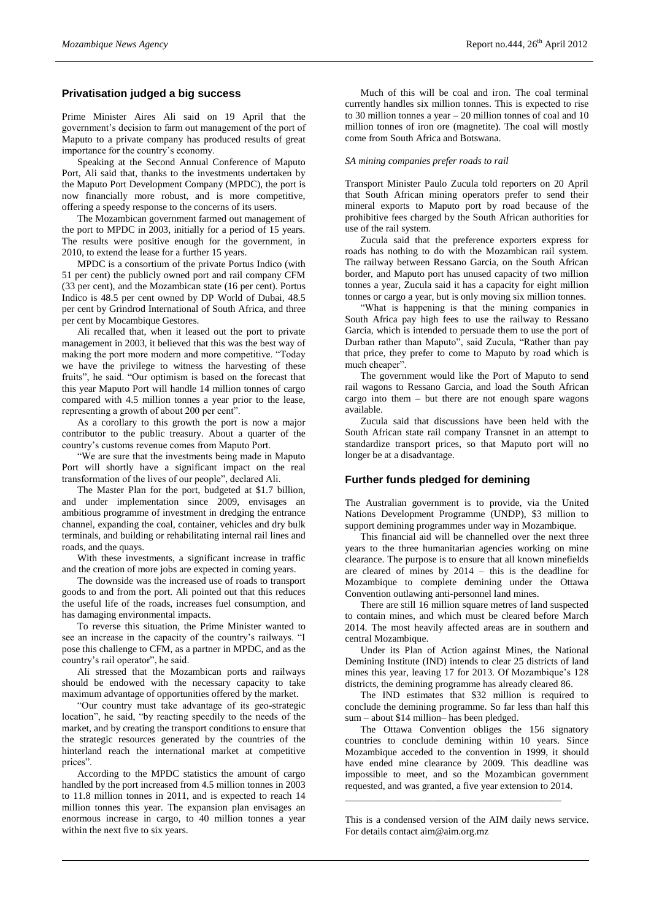# **Privatisation judged a big success**

Prime Minister Aires Ali said on 19 April that the government's decision to farm out management of the port of Maputo to a private company has produced results of great importance for the country's economy.

Speaking at the Second Annual Conference of Maputo Port, Ali said that, thanks to the investments undertaken by the Maputo Port Development Company (MPDC), the port is now financially more robust, and is more competitive, offering a speedy response to the concerns of its users.

The Mozambican government farmed out management of the port to MPDC in 2003, initially for a period of 15 years. The results were positive enough for the government, in 2010, to extend the lease for a further 15 years.

MPDC is a consortium of the private Portus Indico (with 51 per cent) the publicly owned port and rail company CFM (33 per cent), and the Mozambican state (16 per cent). Portus Indico is 48.5 per cent owned by DP World of Dubai, 48.5 per cent by Grindrod International of South Africa, and three per cent by Mocambique Gestores.

Ali recalled that, when it leased out the port to private management in 2003, it believed that this was the best way of making the port more modern and more competitive. "Today we have the privilege to witness the harvesting of these fruits", he said. "Our optimism is based on the forecast that this year Maputo Port will handle 14 million tonnes of cargo compared with 4.5 million tonnes a year prior to the lease, representing a growth of about 200 per cent".

As a corollary to this growth the port is now a major contributor to the public treasury. About a quarter of the country's customs revenue comes from Maputo Port.

"We are sure that the investments being made in Maputo Port will shortly have a significant impact on the real transformation of the lives of our people", declared Ali.

The Master Plan for the port, budgeted at \$1.7 billion, and under implementation since 2009, envisages an ambitious programme of investment in dredging the entrance channel, expanding the coal, container, vehicles and dry bulk terminals, and building or rehabilitating internal rail lines and roads, and the quays.

With these investments, a significant increase in traffic and the creation of more jobs are expected in coming years.

The downside was the increased use of roads to transport goods to and from the port. Ali pointed out that this reduces the useful life of the roads, increases fuel consumption, and has damaging environmental impacts.

To reverse this situation, the Prime Minister wanted to see an increase in the capacity of the country's railways. "I pose this challenge to CFM, as a partner in MPDC, and as the country's rail operator", he said.

Ali stressed that the Mozambican ports and railways should be endowed with the necessary capacity to take maximum advantage of opportunities offered by the market.

"Our country must take advantage of its geo-strategic location", he said, "by reacting speedily to the needs of the market, and by creating the transport conditions to ensure that the strategic resources generated by the countries of the hinterland reach the international market at competitive prices".

According to the MPDC statistics the amount of cargo handled by the port increased from 4.5 million tonnes in 2003 to 11.8 million tonnes in 2011, and is expected to reach 14 million tonnes this year. The expansion plan envisages an enormous increase in cargo, to 40 million tonnes a year within the next five to six years.

Much of this will be coal and iron. The coal terminal currently handles six million tonnes. This is expected to rise to 30 million tonnes a year – 20 million tonnes of coal and 10 million tonnes of iron ore (magnetite). The coal will mostly come from South Africa and Botswana.

#### *SA mining companies prefer roads to rail*

Transport Minister Paulo Zucula told reporters on 20 April that South African mining operators prefer to send their mineral exports to Maputo port by road because of the prohibitive fees charged by the South African authorities for use of the rail system.

Zucula said that the preference exporters express for roads has nothing to do with the Mozambican rail system. The railway between Ressano Garcia, on the South African border, and Maputo port has unused capacity of two million tonnes a year, Zucula said it has a capacity for eight million tonnes or cargo a year, but is only moving six million tonnes.

"What is happening is that the mining companies in South Africa pay high fees to use the railway to Ressano Garcia, which is intended to persuade them to use the port of Durban rather than Maputo", said Zucula, "Rather than pay that price, they prefer to come to Maputo by road which is much cheaper".

The government would like the Port of Maputo to send rail wagons to Ressano Garcia, and load the South African cargo into them – but there are not enough spare wagons available.

Zucula said that discussions have been held with the South African state rail company Transnet in an attempt to standardize transport prices, so that Maputo port will no longer be at a disadvantage.

#### **Further funds pledged for demining**

The Australian government is to provide, via the United Nations Development Programme (UNDP), \$3 million to support demining programmes under way in Mozambique.

This financial aid will be channelled over the next three years to the three humanitarian agencies working on mine clearance. The purpose is to ensure that all known minefields are cleared of mines by 2014 – this is the deadline for Mozambique to complete demining under the Ottawa Convention outlawing anti-personnel land mines.

There are still 16 million square metres of land suspected to contain mines, and which must be cleared before March 2014. The most heavily affected areas are in southern and central Mozambique.

Under its Plan of Action against Mines, the National Demining Institute (IND) intends to clear 25 districts of land mines this year, leaving 17 for 2013. Of Mozambique's 128 districts, the demining programme has already cleared 86.

The IND estimates that \$32 million is required to conclude the demining programme. So far less than half this sum – about \$14 million– has been pledged.

The Ottawa Convention obliges the 156 signatory countries to conclude demining within 10 years. Since Mozambique acceded to the convention in 1999, it should have ended mine clearance by 2009. This deadline was impossible to meet, and so the Mozambican government requested, and was granted, a five year extension to 2014.

This is a condensed version of the AIM daily news service. For details contact aim@aim.org.mz

\_\_\_\_\_\_\_\_\_\_\_\_\_\_\_\_\_\_\_\_\_\_\_\_\_\_\_\_\_\_\_\_\_\_\_\_\_\_\_\_\_\_\_\_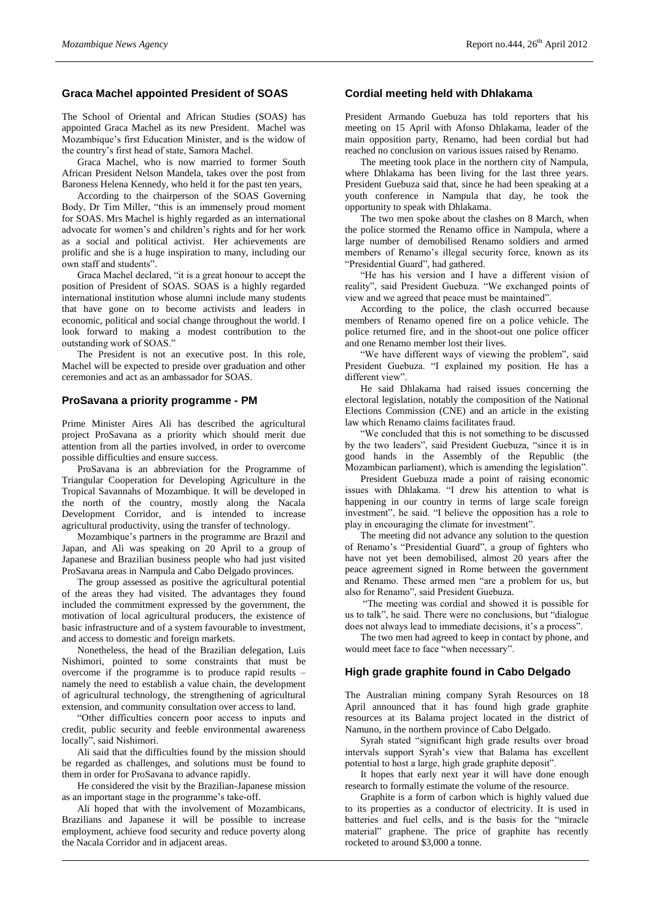# **Graca Machel appointed President of SOAS**

The School of Oriental and African Studies (SOAS) has appointed Graca Machel as its new President. Machel was Mozambique's first Education Minister, and is the widow of the country's first head of state, Samora Machel.

Graca Machel, who is now married to former South African President Nelson Mandela, takes over the post from Baroness Helena Kennedy, who held it for the past ten years,

According to the chairperson of the SOAS Governing Body, Dr Tim Miller, "this is an immensely proud moment for SOAS. Mrs Machel is highly regarded as an international advocate for women's and children's rights and for her work as a social and political activist. Her achievements are prolific and she is a huge inspiration to many, including our own staff and students".

Graca Machel declared, "it is a great honour to accept the position of President of SOAS. SOAS is a highly regarded international institution whose alumni include many students that have gone on to become activists and leaders in economic, political and social change throughout the world. I look forward to making a modest contribution to the outstanding work of SOAS."

The President is not an executive post. In this role, Machel will be expected to preside over graduation and other ceremonies and act as an ambassador for SOAS.

#### **ProSavana a priority programme - PM**

Prime Minister Aires Ali has described the agricultural project ProSavana as a priority which should merit due attention from all the parties involved, in order to overcome possible difficulties and ensure success.

ProSavana is an abbreviation for the Programme of Triangular Cooperation for Developing Agriculture in the Tropical Savannahs of Mozambique. It will be developed in the north of the country, mostly along the Nacala Development Corridor, and is intended to increase agricultural productivity, using the transfer of technology.

Mozambique's partners in the programme are Brazil and Japan, and Ali was speaking on 20 April to a group of Japanese and Brazilian business people who had just visited ProSavana areas in Nampula and Cabo Delgado provinces.

The group assessed as positive the agricultural potential of the areas they had visited. The advantages they found included the commitment expressed by the government, the motivation of local agricultural producers, the existence of basic infrastructure and of a system favourable to investment, and access to domestic and foreign markets.

Nonetheless, the head of the Brazilian delegation, Luis Nishimori, pointed to some constraints that must be overcome if the programme is to produce rapid results – namely the need to establish a value chain, the development of agricultural technology, the strengthening of agricultural extension, and community consultation over access to land.

"Other difficulties concern poor access to inputs and credit, public security and feeble environmental awareness locally", said Nishimori.

Ali said that the difficulties found by the mission should be regarded as challenges, and solutions must be found to them in order for ProSavana to advance rapidly.

He considered the visit by the Brazilian-Japanese mission as an important stage in the programme's take-off.

Ali hoped that with the involvement of Mozambicans, Brazilians and Japanese it will be possible to increase employment, achieve food security and reduce poverty along the Nacala Corridor and in adjacent areas.

# **Cordial meeting held with Dhlakama**

President Armando Guebuza has told reporters that his meeting on 15 April with Afonso Dhlakama, leader of the main opposition party, Renamo, had been cordial but had reached no conclusion on various issues raised by Renamo.

The meeting took place in the northern city of Nampula, where Dhlakama has been living for the last three years. President Guebuza said that, since he had been speaking at a youth conference in Nampula that day, he took the opportunity to speak with Dhlakama.

The two men spoke about the clashes on 8 March, when the police stormed the Renamo office in Nampula, where a large number of demobilised Renamo soldiers and armed members of Renamo's illegal security force, known as its "Presidential Guard", had gathered.

"He has his version and I have a different vision of reality", said President Guebuza. "We exchanged points of view and we agreed that peace must be maintained".

According to the police, the clash occurred because members of Renamo opened fire on a police vehicle. The police returned fire, and in the shoot-out one police officer and one Renamo member lost their lives.

"We have different ways of viewing the problem", said President Guebuza. "I explained my position. He has a different view".

He said Dhlakama had raised issues concerning the electoral legislation, notably the composition of the National Elections Commission (CNE) and an article in the existing law which Renamo claims facilitates fraud.

"We concluded that this is not something to be discussed by the two leaders", said President Guebuza, "since it is in good hands in the Assembly of the Republic (the Mozambican parliament), which is amending the legislation".

President Guebuza made a point of raising economic issues with Dhlakama. "I drew his attention to what is happening in our country in terms of large scale foreign investment", he said. "I believe the opposition has a role to play in encouraging the climate for investment".

The meeting did not advance any solution to the question of Renamo's "Presidential Guard", a group of fighters who have not yet been demobilised, almost 20 years after the peace agreement signed in Rome between the government and Renamo. These armed men "are a problem for us, but also for Renamo", said President Guebuza.

"The meeting was cordial and showed it is possible for us to talk", he said. There were no conclusions, but "dialogue does not always lead to immediate decisions, it's a process".

The two men had agreed to keep in contact by phone, and would meet face to face "when necessary".

### **High grade graphite found in Cabo Delgado**

The Australian mining company Syrah Resources on 18 April announced that it has found high grade graphite resources at its Balama project located in the district of Namuno, in the northern province of Cabo Delgado.

Syrah stated "significant high grade results over broad intervals support Syrah's view that Balama has excellent potential to host a large, high grade graphite deposit".

It hopes that early next year it will have done enough research to formally estimate the volume of the resource.

Graphite is a form of carbon which is highly valued due to its properties as a conductor of electricity. It is used in batteries and fuel cells, and is the basis for the "miracle material" graphene. The price of graphite has recently rocketed to around \$3,000 a tonne.